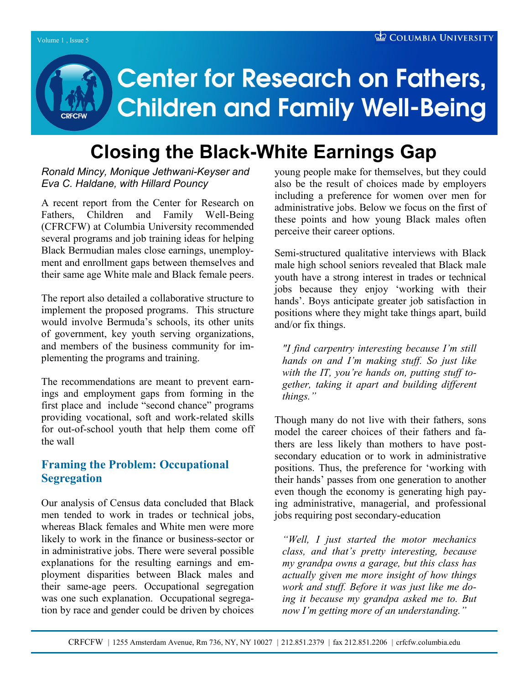# **Center for Research on Fathers, Children and Family Well-Being**

# **Closing the Black-White Earnings Gap**

#### *Ronald Mincy, Monique Jethwani-Keyser and Eva C. Haldane, with Hillard Pouncy*

A recent report from the Center for Research on Fathers, Children and Family Well-Being (CFRCFW) at Columbia University recommended several programs and job training ideas for helping Black Bermudian males close earnings, unemployment and enrollment gaps between themselves and their same age White male and Black female peers.

The report also detailed a collaborative structure to implement the proposed programs. This structure would involve Bermuda"s schools, its other units of government, key youth serving organizations, and members of the business community for implementing the programs and training.

The recommendations are meant to prevent earnings and employment gaps from forming in the first place and include "second chance" programs providing vocational, soft and work-related skills for out-of-school youth that help them come off the wall

# **Framing the Problem: Occupational Segregation**

Our analysis of Census data concluded that Black men tended to work in trades or technical jobs, whereas Black females and White men were more likely to work in the finance or business-sector or in administrative jobs. There were several possible explanations for the resulting earnings and employment disparities between Black males and their same-age peers. Occupational segregation was one such explanation. Occupational segregation by race and gender could be driven by choices young people make for themselves, but they could also be the result of choices made by employers including a preference for women over men for administrative jobs. Below we focus on the first of these points and how young Black males often perceive their career options.

Semi-structured qualitative interviews with Black male high school seniors revealed that Black male youth have a strong interest in trades or technical jobs because they enjoy "working with their hands'. Boys anticipate greater job satisfaction in positions where they might take things apart, build and/or fix things.

*"I find carpentry interesting because I'm still hands on and I'm making stuff. So just like with the IT, you're hands on, putting stuff together, taking it apart and building different things."*

Though many do not live with their fathers, sons model the career choices of their fathers and fathers are less likely than mothers to have postsecondary education or to work in administrative positions. Thus, the preference for "working with their hands" passes from one generation to another even though the economy is generating high paying administrative, managerial, and professional jobs requiring post secondary-education

*"Well, I just started the motor mechanics class, and that's pretty interesting, because my grandpa owns a garage, but this class has actually given me more insight of how things work and stuff. Before it was just like me doing it because my grandpa asked me to. But now I'm getting more of an understanding."*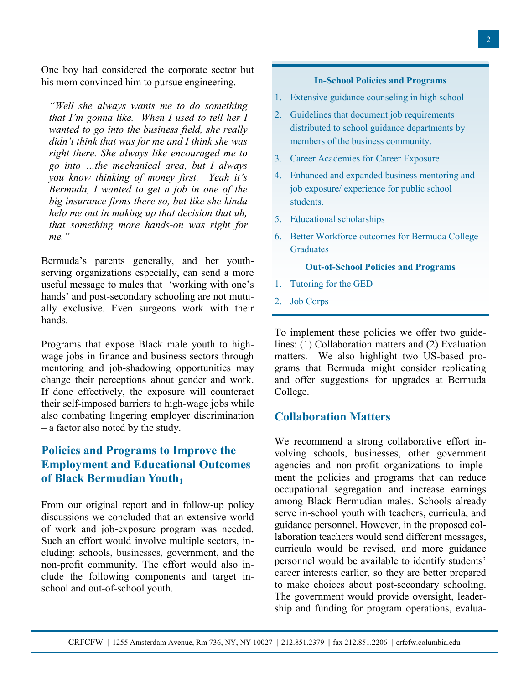One boy had considered the corporate sector but his mom convinced him to pursue engineering.

*"Well she always wants me to do something that I'm gonna like. When I used to tell her I wanted to go into the business field, she really didn't think that was for me and I think she was right there. She always like encouraged me to go into …the mechanical area, but I always you know thinking of money first. Yeah it's Bermuda, I wanted to get a job in one of the big insurance firms there so, but like she kinda help me out in making up that decision that uh, that something more hands-on was right for me."* 

Bermuda"s parents generally, and her youthserving organizations especially, can send a more useful message to males that "working with one"s hands' and post-secondary schooling are not mutually exclusive. Even surgeons work with their hands.

Programs that expose Black male youth to highwage jobs in finance and business sectors through mentoring and job-shadowing opportunities may change their perceptions about gender and work. If done effectively, the exposure will counteract their self-imposed barriers to high-wage jobs while also combating lingering employer discrimination – a factor also noted by the study.

# **Policies and Programs to Improve the Employment and Educational Outcomes of Black Bermudian Youth<sup>1</sup>**

From our original report and in follow-up policy discussions we concluded that an extensive world of work and job-exposure program was needed. Such an effort would involve multiple sectors, including: schools, businesses, government, and the non-profit community. The effort would also include the following components and target inschool and out-of-school youth.

#### **In-School Policies and Programs**

- 1. Extensive guidance counseling in high school
- 2. Guidelines that document job requirements distributed to school guidance departments by members of the business community.
- 3. Career Academies for Career Exposure
- 4. Enhanced and expanded business mentoring and job exposure/ experience for public school students.
- 5. Educational scholarships
- 6. Better Workforce outcomes for Bermuda College **Graduates**

#### **Out-of-School Policies and Programs**

- 1. Tutoring for the GED
- 2. Job Corps

To implement these policies we offer two guidelines: (1) Collaboration matters and (2) Evaluation matters. We also highlight two US-based programs that Bermuda might consider replicating and offer suggestions for upgrades at Bermuda College.

#### **Collaboration Matters**

We recommend a strong collaborative effort involving schools, businesses, other government agencies and non-profit organizations to implement the policies and programs that can reduce occupational segregation and increase earnings among Black Bermudian males. Schools already serve in-school youth with teachers, curricula, and guidance personnel. However, in the proposed collaboration teachers would send different messages, curricula would be revised, and more guidance personnel would be available to identify students' career interests earlier, so they are better prepared to make choices about post-secondary schooling. The government would provide oversight, leadership and funding for program operations, evalua-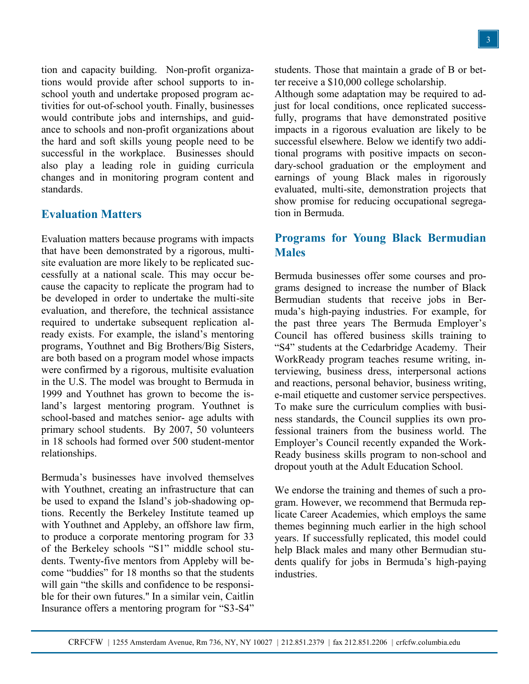tion and capacity building. Non-profit organizations would provide after school supports to inschool youth and undertake proposed program activities for out-of-school youth. Finally, businesses would contribute jobs and internships, and guidance to schools and non-profit organizations about the hard and soft skills young people need to be successful in the workplace. Businesses should also play a leading role in guiding curricula changes and in monitoring program content and standards.

### **Evaluation Matters**

Evaluation matters because programs with impacts that have been demonstrated by a rigorous, multisite evaluation are more likely to be replicated successfully at a national scale. This may occur because the capacity to replicate the program had to be developed in order to undertake the multi-site evaluation, and therefore, the technical assistance required to undertake subsequent replication already exists. For example, the island"s mentoring programs, Youthnet and Big Brothers/Big Sisters, are both based on a program model whose impacts were confirmed by a rigorous, multisite evaluation in the U.S. The model was brought to Bermuda in 1999 and Youthnet has grown to become the island"s largest mentoring program. Youthnet is school-based and matches senior- age adults with primary school students. By 2007, 50 volunteers in 18 schools had formed over 500 student-mentor relationships.

Bermuda"s businesses have involved themselves with Youthnet, creating an infrastructure that can be used to expand the Island"s job-shadowing options. Recently the Berkeley Institute teamed up with Youthnet and Appleby, an offshore law firm, to produce a corporate mentoring program for 33 of the Berkeley schools "S1" middle school students. Twenty-five mentors from Appleby will become "buddies" for 18 months so that the students will gain "the skills and confidence to be responsible for their own futures.'' In a similar vein, Caitlin Insurance offers a mentoring program for "S3-S4"

students. Those that maintain a grade of B or better receive a \$10,000 college scholarship.

Although some adaptation may be required to adjust for local conditions, once replicated successfully, programs that have demonstrated positive impacts in a rigorous evaluation are likely to be successful elsewhere. Below we identify two additional programs with positive impacts on secondary-school graduation or the employment and earnings of young Black males in rigorously evaluated, multi-site, demonstration projects that show promise for reducing occupational segregation in Bermuda.

## **Programs for Young Black Bermudian Males**

Bermuda businesses offer some courses and programs designed to increase the number of Black Bermudian students that receive jobs in Bermuda"s high-paying industries. For example, for the past three years The Bermuda Employer's Council has offered business skills training to "S4" students at the Cedarbridge Academy. Their WorkReady program teaches resume writing, interviewing, business dress, interpersonal actions and reactions, personal behavior, business writing, e-mail etiquette and customer service perspectives. To make sure the curriculum complies with business standards, the Council supplies its own professional trainers from the business world. The Employer"s Council recently expanded the Work-Ready business skills program to non-school and dropout youth at the Adult Education School.

We endorse the training and themes of such a program. However, we recommend that Bermuda replicate Career Academies, which employs the same themes beginning much earlier in the high school years. If successfully replicated, this model could help Black males and many other Bermudian students qualify for jobs in Bermuda"s high-paying industries.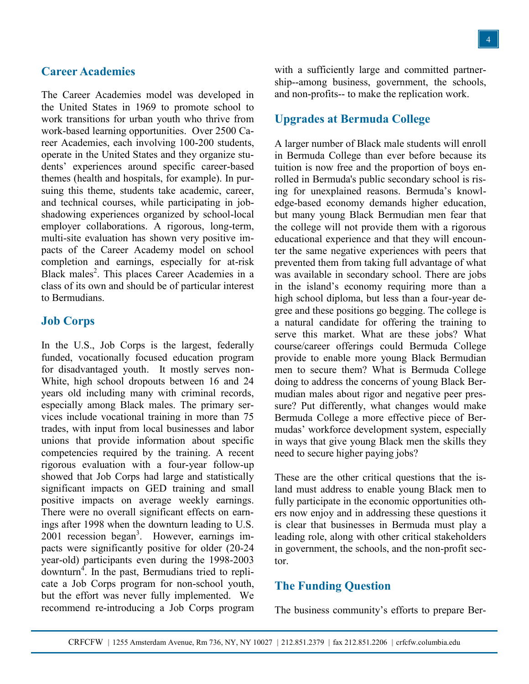#### **Career Academies**

The Career Academies model was developed in the United States in 1969 to promote school to work transitions for urban youth who thrive from work-based learning opportunities. Over 2500 Career Academies, each involving 100-200 students, operate in the United States and they organize students" experiences around specific career-based themes (health and hospitals, for example). In pursuing this theme, students take academic, career, and technical courses, while participating in jobshadowing experiences organized by school-local employer collaborations. A rigorous, long-term, multi-site evaluation has shown very positive impacts of the Career Academy model on school completion and earnings, especially for at-risk Black males<sup>2</sup>. This places Career Academies in a class of its own and should be of particular interest to Bermudians.

#### **Job Corps**

In the U.S., Job Corps is the largest, federally funded, vocationally focused education program for disadvantaged youth. It mostly serves non-White, high school dropouts between 16 and 24 years old including many with criminal records, especially among Black males. The primary services include vocational training in more than 75 trades, with input from local businesses and labor unions that provide information about specific competencies required by the training. A recent rigorous evaluation with a four-year follow-up showed that Job Corps had large and statistically significant impacts on GED training and small positive impacts on average weekly earnings. There were no overall significant effects on earnings after 1998 when the downturn leading to U.S. 2001 recession began<sup>3</sup>. However, earnings impacts were significantly positive for older (20-24 year-old) participants even during the 1998-2003 downturn<sup>4</sup>. In the past, Bermudians tried to replicate a Job Corps program for non-school youth, but the effort was never fully implemented. We recommend re-introducing a Job Corps program

with a sufficiently large and committed partnership--among business, government, the schools, and non-profits-- to make the replication work.

#### **Upgrades at Bermuda College**

A larger number of Black male students will enroll in Bermuda College than ever before because its tuition is now free and the proportion of boys enrolled in Bermuda's public secondary school is rising for unexplained reasons. Bermuda"s knowledge-based economy demands higher education, but many young Black Bermudian men fear that the college will not provide them with a rigorous educational experience and that they will encounter the same negative experiences with peers that prevented them from taking full advantage of what was available in secondary school. There are jobs in the island"s economy requiring more than a high school diploma, but less than a four-year degree and these positions go begging. The college is a natural candidate for offering the training to serve this market. What are these jobs? What course/career offerings could Bermuda College provide to enable more young Black Bermudian men to secure them? What is Bermuda College doing to address the concerns of young Black Bermudian males about rigor and negative peer pressure? Put differently, what changes would make Bermuda College a more effective piece of Bermudas" workforce development system, especially in ways that give young Black men the skills they need to secure higher paying jobs?

These are the other critical questions that the island must address to enable young Black men to fully participate in the economic opportunities others now enjoy and in addressing these questions it is clear that businesses in Bermuda must play a leading role, along with other critical stakeholders in government, the schools, and the non-profit sector.

#### **The Funding Question**

The business community's efforts to prepare Ber-